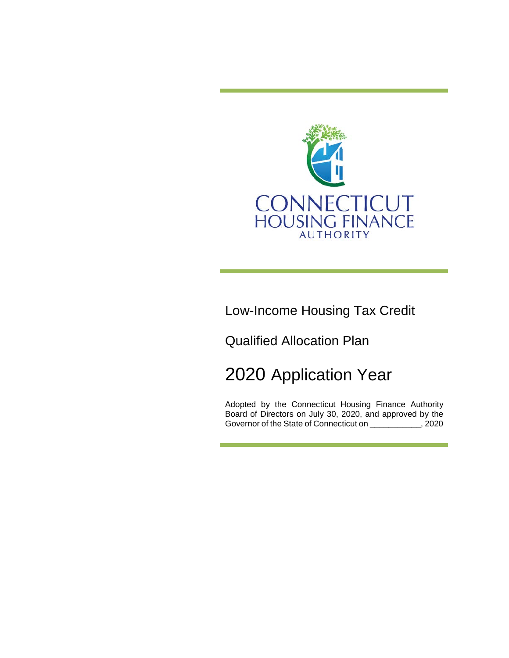

Low-Income Housing Tax Credit

Qualified Allocation Plan

# 2020 Application Year

Adopted by the Connecticut Housing Finance Authority Board of Directors on July 30, 2020, and approved by the Governor of the State of Connecticut on \_\_\_\_\_\_\_\_\_\_\_, 2020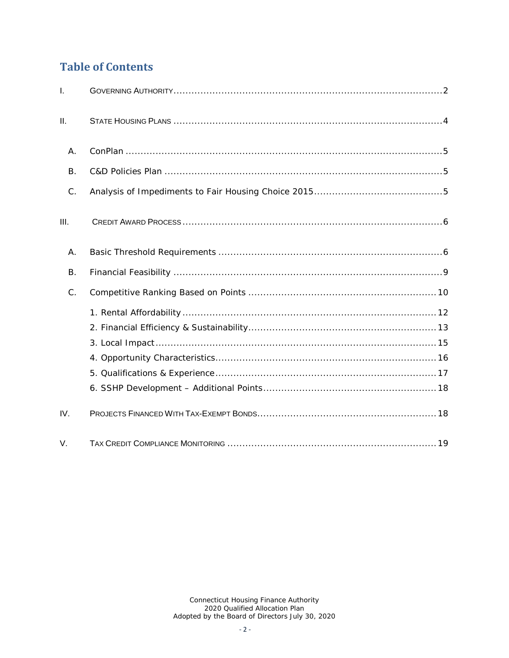# <span id="page-1-0"></span>**Table of Contents**

| $\mathbf{I}$ . |  |
|----------------|--|
| II.            |  |
| A.             |  |
| <b>B.</b>      |  |
| C.             |  |
| III.           |  |
| Α.             |  |
| <b>B.</b>      |  |
| $C_{\cdot}$    |  |
|                |  |
|                |  |
|                |  |
|                |  |
|                |  |
|                |  |
| IV.            |  |
| V.             |  |

Connecticut Housing Finance Authority<br>2020 Qualified Allocation Plan<br>Adopted by the Board of Directors July 30, 2020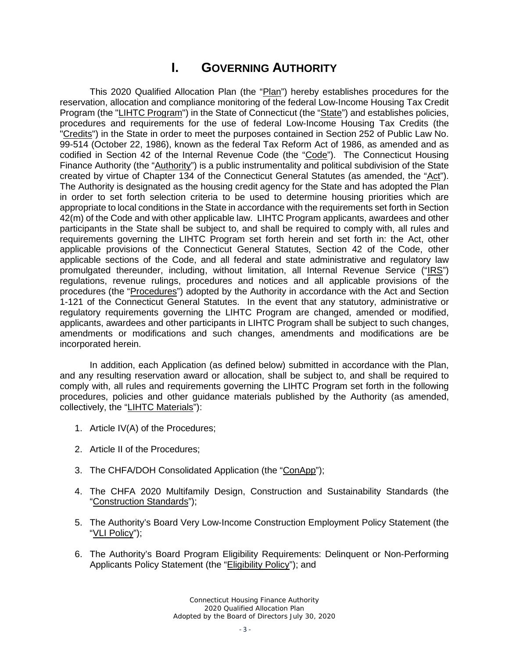# **I. GOVERNING AUTHORITY**

This 2020 Qualified Allocation Plan (the "Plan") hereby establishes procedures for the reservation, allocation and compliance monitoring of the federal Low-Income Housing Tax Credit Program (the "LIHTC Program") in the State of Connecticut (the "State") and establishes policies, procedures and requirements for the use of federal Low-Income Housing Tax Credits (the "Credits") in the State in order to meet the purposes contained in Section 252 of Public Law No. 99-514 (October 22, 1986), known as the federal Tax Reform Act of 1986, as amended and as codified in Section 42 of the Internal Revenue Code (the "Code"). The Connecticut Housing Finance Authority (the "Authority") is a public instrumentality and political subdivision of the State created by virtue of Chapter 134 of the Connecticut General Statutes (as amended, the "Act"). The Authority is designated as the housing credit agency for the State and has adopted the Plan in order to set forth selection criteria to be used to determine housing priorities which are appropriate to local conditions in the State in accordance with the requirements set forth in Section 42(m) of the Code and with other applicable law. LIHTC Program applicants, awardees and other participants in the State shall be subject to, and shall be required to comply with, all rules and requirements governing the LIHTC Program set forth herein and set forth in: the Act, other applicable provisions of the Connecticut General Statutes, Section 42 of the Code, other applicable sections of the Code, and all federal and state administrative and regulatory law promulgated thereunder, including, without limitation, all Internal Revenue Service ("IRS") regulations, revenue rulings, procedures and notices and all applicable provisions of the procedures (the "Procedures") adopted by the Authority in accordance with the Act and Section 1-121 of the Connecticut General Statutes. In the event that any statutory, administrative or regulatory requirements governing the LIHTC Program are changed, amended or modified, applicants, awardees and other participants in LIHTC Program shall be subject to such changes, amendments or modifications and such changes, amendments and modifications are be incorporated herein.

In addition, each Application (as defined below) submitted in accordance with the Plan, and any resulting reservation award or allocation, shall be subject to, and shall be required to comply with, all rules and requirements governing the LIHTC Program set forth in the following procedures, policies and other guidance materials published by the Authority (as amended, collectively, the "LIHTC Materials"):

- 1. Article IV(A) of the Procedures;
- 2. Article II of the Procedures;
- 3. The CHFA/DOH Consolidated Application (the "ConApp");
- 4. The CHFA 2020 Multifamily Design, Construction and Sustainability Standards (the "Construction Standards");
- 5. The Authority's Board Very Low-Income Construction Employment Policy Statement (the "VLI Policy");
- 6. The Authority's Board Program Eligibility Requirements: Delinquent or Non-Performing Applicants Policy Statement (the "Eligibility Policy"); and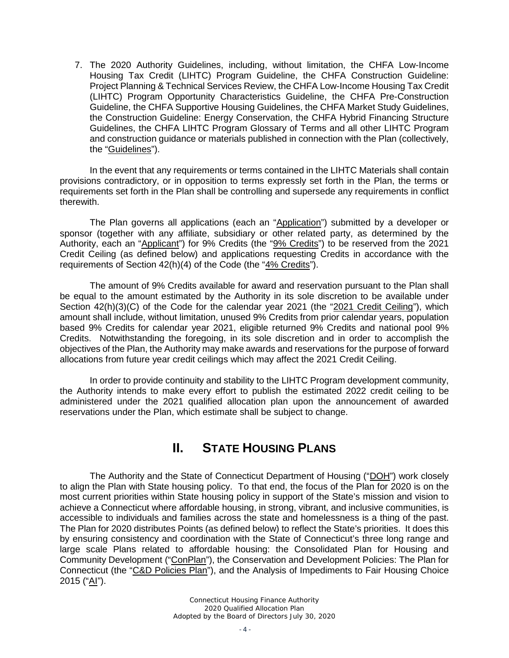7. The 2020 Authority Guidelines, including, without limitation, the CHFA Low-Income Housing Tax Credit (LIHTC) Program Guideline, the CHFA Construction Guideline: Project Planning & Technical Services Review, the CHFA Low-Income Housing Tax Credit (LIHTC) Program Opportunity Characteristics Guideline, the CHFA Pre-Construction Guideline, the CHFA Supportive Housing Guidelines, the CHFA Market Study Guidelines, the Construction Guideline: Energy Conservation, the CHFA Hybrid Financing Structure Guidelines, the CHFA LIHTC Program Glossary of Terms and all other LIHTC Program and construction guidance or materials published in connection with the Plan (collectively, the "Guidelines").

In the event that any requirements or terms contained in the LIHTC Materials shall contain provisions contradictory, or in opposition to terms expressly set forth in the Plan, the terms or requirements set forth in the Plan shall be controlling and supersede any requirements in conflict therewith.

The Plan governs all applications (each an "Application") submitted by a developer or sponsor (together with any affiliate, subsidiary or other related party, as determined by the Authority, each an "Applicant") for 9% Credits (the "9% Credits") to be reserved from the 2021 Credit Ceiling (as defined below) and applications requesting Credits in accordance with the requirements of Section 42(h)(4) of the Code (the "4% Credits").

The amount of 9% Credits available for award and reservation pursuant to the Plan shall be equal to the amount estimated by the Authority in its sole discretion to be available under Section 42(h)(3)(C) of the Code for the calendar year 2021 (the "2021 Credit Ceiling"), which amount shall include, without limitation, unused 9% Credits from prior calendar years, population based 9% Credits for calendar year 2021, eligible returned 9% Credits and national pool 9% Credits. Notwithstanding the foregoing, in its sole discretion and in order to accomplish the objectives of the Plan, the Authority may make awards and reservations for the purpose of forward allocations from future year credit ceilings which may affect the 2021 Credit Ceiling.

In order to provide continuity and stability to the LIHTC Program development community, the Authority intends to make every effort to publish the estimated 2022 credit ceiling to be administered under the 2021 qualified allocation plan upon the announcement of awarded reservations under the Plan, which estimate shall be subject to change.

## **II. STATE HOUSING PLANS**

<span id="page-3-0"></span>The Authority and the State of Connecticut Department of Housing ("DOH") work closely to align the Plan with State housing policy. To that end, the focus of the Plan for 2020 is on the most current priorities within State housing policy in support of the State's mission and vision to achieve a Connecticut where affordable housing, in strong, vibrant, and inclusive communities, is accessible to individuals and families across the state and homelessness is a thing of the past. The Plan for 2020 distributes Points (as defined below) to reflect the State's priorities. It does this by ensuring consistency and coordination with the State of Connecticut's three long range and large scale Plans related to affordable housing: the Consolidated Plan for Housing and Community Development ("ConPlan"), the Conservation and Development Policies: The Plan for Connecticut (the "C&D Policies Plan"), and the Analysis of Impediments to Fair Housing Choice 2015 ("AI").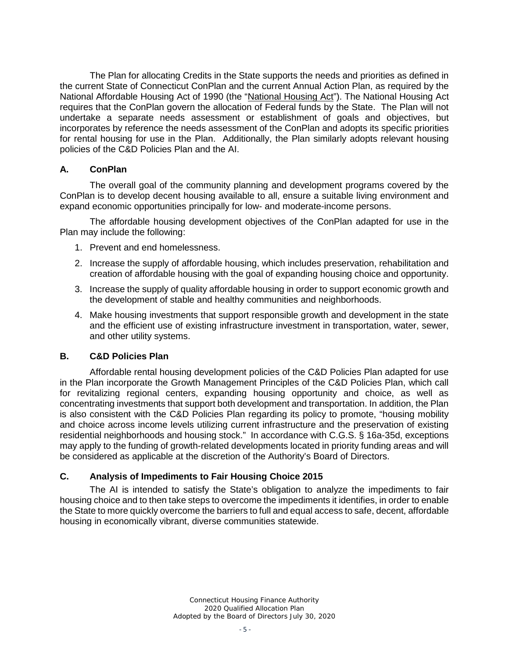The Plan for allocating Credits in the State supports the needs and priorities as defined in the current State of Connecticut ConPlan and the current Annual Action Plan, as required by the National Affordable Housing Act of 1990 (the "National Housing Act"). The National Housing Act requires that the ConPlan govern the allocation of Federal funds by the State. The Plan will not undertake a separate needs assessment or establishment of goals and objectives, but incorporates by reference the needs assessment of the ConPlan and adopts its specific priorities for rental housing for use in the Plan. Additionally, the Plan similarly adopts relevant housing policies of the C&D Policies Plan and the AI.

#### <span id="page-4-0"></span>**A. ConPlan**

The overall goal of the community planning and development programs covered by the ConPlan is to develop decent housing available to all, ensure a suitable living environment and expand economic opportunities principally for low- and moderate-income persons.

The affordable housing development objectives of the ConPlan adapted for use in the Plan may include the following:

- 1. Prevent and end homelessness.
- 2. Increase the supply of affordable housing, which includes preservation, rehabilitation and creation of affordable housing with the goal of expanding housing choice and opportunity.
- 3. Increase the supply of quality affordable housing in order to support economic growth and the development of stable and healthy communities and neighborhoods.
- 4. Make housing investments that support responsible growth and development in the state and the efficient use of existing infrastructure investment in transportation, water, sewer, and other utility systems.

#### <span id="page-4-1"></span>**B. C&D Policies Plan**

Affordable rental housing development policies of the C&D Policies Plan adapted for use in the Plan incorporate the Growth Management Principles of the C&D Policies Plan, which call for revitalizing regional centers, expanding housing opportunity and choice, as well as concentrating investments that support both development and transportation. In addition, the Plan is also consistent with the C&D Policies Plan regarding its policy to promote, "housing mobility and choice across income levels utilizing current infrastructure and the preservation of existing residential neighborhoods and housing stock." In accordance with C.G.S. § 16a-35d, exceptions may apply to the funding of growth-related developments located in priority funding areas and will be considered as applicable at the discretion of the Authority's Board of Directors.

#### <span id="page-4-2"></span>**C. Analysis of Impediments to Fair Housing Choice 2015**

The AI is intended to satisfy the State's obligation to analyze the impediments to fair housing choice and to then take steps to overcome the impediments it identifies, in order to enable the State to more quickly overcome the barriers to full and equal access to safe, decent, affordable housing in economically vibrant, diverse communities statewide.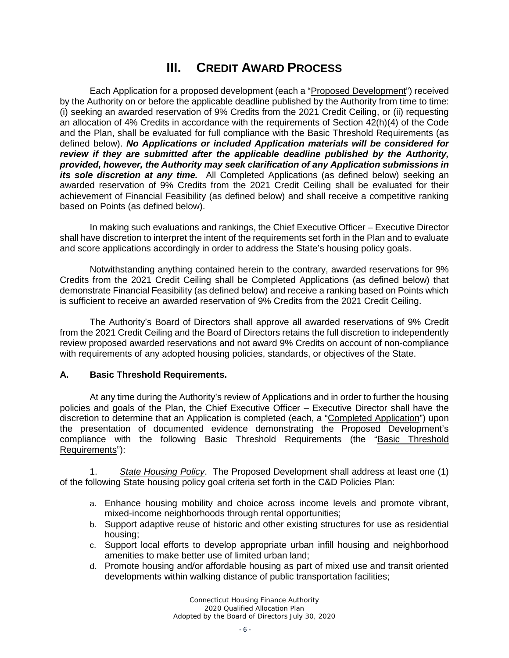# **III. CREDIT AWARD PROCESS**

<span id="page-5-0"></span>Each Application for a proposed development (each a "Proposed Development") received by the Authority on or before the applicable deadline published by the Authority from time to time: (i) seeking an awarded reservation of 9% Credits from the 2021 Credit Ceiling, or (ii) requesting an allocation of 4% Credits in accordance with the requirements of Section 42(h)(4) of the Code and the Plan, shall be evaluated for full compliance with the Basic Threshold Requirements (as defined below). *No Applications or included Application materials will be considered for review if they are submitted after the applicable deadline published by the Authority, provided, however, the Authority may seek clarification of any Application submissions in its sole discretion at any time.* All Completed Applications (as defined below) seeking an awarded reservation of 9% Credits from the 2021 Credit Ceiling shall be evaluated for their achievement of Financial Feasibility (as defined below) and shall receive a competitive ranking based on Points (as defined below).

In making such evaluations and rankings, the Chief Executive Officer – Executive Director shall have discretion to interpret the intent of the requirements set forth in the Plan and to evaluate and score applications accordingly in order to address the State's housing policy goals.

Notwithstanding anything contained herein to the contrary, awarded reservations for 9% Credits from the 2021 Credit Ceiling shall be Completed Applications (as defined below) that demonstrate Financial Feasibility (as defined below) and receive a ranking based on Points which is sufficient to receive an awarded reservation of 9% Credits from the 2021 Credit Ceiling.

The Authority's Board of Directors shall approve all awarded reservations of 9% Credit from the 2021 Credit Ceiling and the Board of Directors retains the full discretion to independently review proposed awarded reservations and not award 9% Credits on account of non-compliance with requirements of any adopted housing policies, standards, or objectives of the State.

#### **A. Basic Threshold Requirements.**

At any time during the Authority's review of Applications and in order to further the housing policies and goals of the Plan, the Chief Executive Officer – Executive Director shall have the discretion to determine that an Application is completed (each, a "Completed Application") upon the presentation of documented evidence demonstrating the Proposed Development's compliance with the following Basic Threshold Requirements (the "Basic Threshold Requirements"):

1. *State Housing Policy*. The Proposed Development shall address at least one (1) of the following State housing policy goal criteria set forth in the C&D Policies Plan:

- a. Enhance housing mobility and choice across income levels and promote vibrant, mixed-income neighborhoods through rental opportunities;
- b. Support adaptive reuse of historic and other existing structures for use as residential housing;
- c. Support local efforts to develop appropriate urban infill housing and neighborhood amenities to make better use of limited urban land;
- d. Promote housing and/or affordable housing as part of mixed use and transit oriented developments within walking distance of public transportation facilities;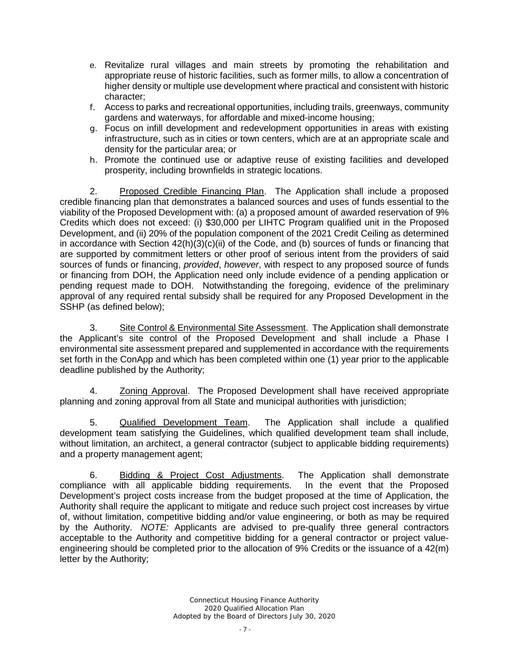- e. Revitalize rural villages and main streets by promoting the rehabilitation and appropriate reuse of historic facilities, such as former mills, to allow a concentration of higher density or multiple use development where practical and consistent with historic character;
- f. Access to parks and recreational opportunities, including trails, greenways, community gardens and waterways, for affordable and mixed-income housing;
- g. Focus on infill development and redevelopment opportunities in areas with existing infrastructure, such as in cities or town centers, which are at an appropriate scale and density for the particular area; or
- h. Promote the continued use or adaptive reuse of existing facilities and developed prosperity, including brownfields in strategic locations.

2. Proposed Credible Financing Plan. The Application shall include a proposed credible financing plan that demonstrates a balanced sources and uses of funds essential to the viability of the Proposed Development with: (a) a proposed amount of awarded reservation of 9% Credits which does not exceed: (i) \$30,000 per LIHTC Program qualified unit in the Proposed Development, and (ii) 20% of the population component of the 2021 Credit Ceiling as determined in accordance with Section 42(h)(3)(c)(ii) of the Code, and (b) sources of funds or financing that are supported by commitment letters or other proof of serious intent from the providers of said sources of funds or financing, *provided*, *however*, with respect to any proposed source of funds or financing from DOH, the Application need only include evidence of a pending application or pending request made to DOH. Notwithstanding the foregoing, evidence of the preliminary approval of any required rental subsidy shall be required for any Proposed Development in the SSHP (as defined below);

3. Site Control & Environmental Site Assessment. The Application shall demonstrate the Applicant's site control of the Proposed Development and shall include a Phase I environmental site assessment prepared and supplemented in accordance with the requirements set forth in the ConApp and which has been completed within one (1) year prior to the applicable deadline published by the Authority;

4. Zoning Approval. The Proposed Development shall have received appropriate planning and zoning approval from all State and municipal authorities with jurisdiction;

5. Qualified Development Team. The Application shall include a qualified development team satisfying the Guidelines, which qualified development team shall include, without limitation, an architect, a general contractor (subject to applicable bidding requirements) and a property management agent;

6. Bidding & Project Cost Adjustments. The Application shall demonstrate compliance with all applicable bidding requirements. In the event that the Proposed Development's project costs increase from the budget proposed at the time of Application, the Authority shall require the applicant to mitigate and reduce such project cost increases by virtue of, without limitation, competitive bidding and/or value engineering, or both as may be required by the Authority. *NOTE:* Applicants are advised to pre-qualify three general contractors acceptable to the Authority and competitive bidding for a general contractor or project valueengineering should be completed prior to the allocation of 9% Credits or the issuance of a 42(m) letter by the Authority;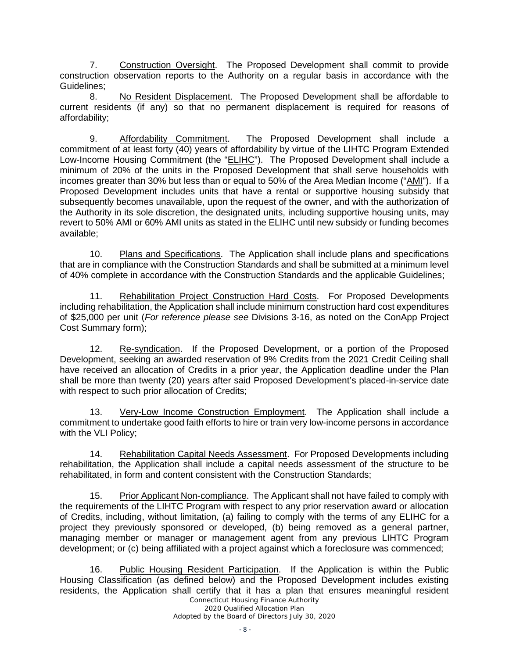7. Construction Oversight. The Proposed Development shall commit to provide construction observation reports to the Authority on a regular basis in accordance with the Guidelines;

8. No Resident Displacement. The Proposed Development shall be affordable to current residents (if any) so that no permanent displacement is required for reasons of affordability;

9. Affordability Commitment. The Proposed Development shall include a commitment of at least forty (40) years of affordability by virtue of the LIHTC Program Extended Low-Income Housing Commitment (the "ELIHC"). The Proposed Development shall include a minimum of 20% of the units in the Proposed Development that shall serve households with incomes greater than 30% but less than or equal to 50% of the Area Median Income ("AMI"). If a Proposed Development includes units that have a rental or supportive housing subsidy that subsequently becomes unavailable, upon the request of the owner, and with the authorization of the Authority in its sole discretion, the designated units, including supportive housing units, may revert to 50% AMI or 60% AMI units as stated in the ELIHC until new subsidy or funding becomes available;

10. Plans and Specifications. The Application shall include plans and specifications that are in compliance with the Construction Standards and shall be submitted at a minimum level of 40% complete in accordance with the Construction Standards and the applicable Guidelines;

11. Rehabilitation Project Construction Hard Costs. For Proposed Developments including rehabilitation, the Application shall include minimum construction hard cost expenditures of \$25,000 per unit (*For reference please see* Divisions 3-16, as noted on the ConApp Project Cost Summary form);

12. Re-syndication. If the Proposed Development, or a portion of the Proposed Development, seeking an awarded reservation of 9% Credits from the 2021 Credit Ceiling shall have received an allocation of Credits in a prior year, the Application deadline under the Plan shall be more than twenty (20) years after said Proposed Development's placed-in-service date with respect to such prior allocation of Credits;

13. Very-Low Income Construction Employment. The Application shall include a commitment to undertake good faith efforts to hire or train very low-income persons in accordance with the VLI Policy;

14. Rehabilitation Capital Needs Assessment. For Proposed Developments including rehabilitation, the Application shall include a capital needs assessment of the structure to be rehabilitated, in form and content consistent with the Construction Standards;

15. Prior Applicant Non-compliance. The Applicant shall not have failed to comply with the requirements of the LIHTC Program with respect to any prior reservation award or allocation of Credits, including, without limitation, (a) failing to comply with the terms of any ELIHC for a project they previously sponsored or developed, (b) being removed as a general partner, managing member or manager or management agent from any previous LIHTC Program development; or (c) being affiliated with a project against which a foreclosure was commenced;

*Connecticut Housing Finance Authority* 16. Public Housing Resident Participation. If the Application is within the Public Housing Classification (as defined below) and the Proposed Development includes existing residents, the Application shall certify that it has a plan that ensures meaningful resident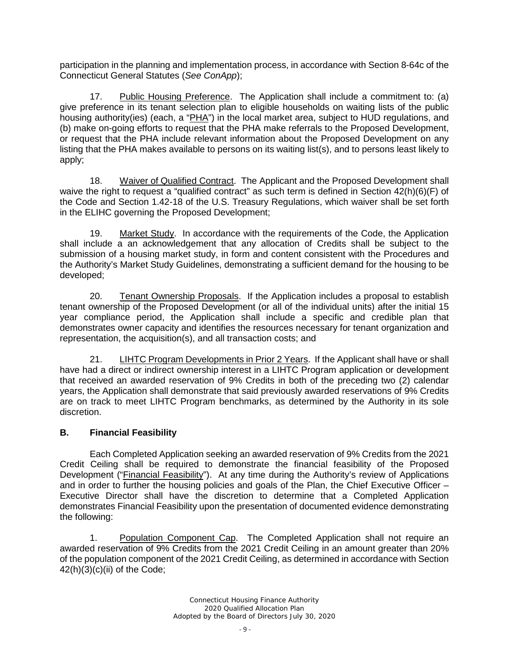participation in the planning and implementation process, in accordance with Section 8-64c of the Connecticut General Statutes (*See ConApp*);

17. Public Housing Preference. The Application shall include a commitment to: (a) give preference in its tenant selection plan to eligible households on waiting lists of the public housing authority(ies) (each, a "PHA") in the local market area, subject to HUD regulations, and (b) make on-going efforts to request that the PHA make referrals to the Proposed Development, or request that the PHA include relevant information about the Proposed Development on any listing that the PHA makes available to persons on its waiting list(s), and to persons least likely to apply;

18. Waiver of Qualified Contract. The Applicant and the Proposed Development shall waive the right to request a "qualified contract" as such term is defined in Section 42(h)(6)(F) of the Code and Section 1.42-18 of the U.S. Treasury Regulations, which waiver shall be set forth in the ELIHC governing the Proposed Development;

19. Market Study. In accordance with the requirements of the Code, the Application shall include a an acknowledgement that any allocation of Credits shall be subject to the submission of a housing market study, in form and content consistent with the Procedures and the Authority's Market Study Guidelines, demonstrating a sufficient demand for the housing to be developed;

20. Tenant Ownership Proposals. If the Application includes a proposal to establish tenant ownership of the Proposed Development (or all of the individual units) after the initial 15 year compliance period, the Application shall include a specific and credible plan that demonstrates owner capacity and identifies the resources necessary for tenant organization and representation, the acquisition(s), and all transaction costs; and

21. LIHTC Program Developments in Prior 2 Years. If the Applicant shall have or shall have had a direct or indirect ownership interest in a LIHTC Program application or development that received an awarded reservation of 9% Credits in both of the preceding two (2) calendar years, the Application shall demonstrate that said previously awarded reservations of 9% Credits are on track to meet LIHTC Program benchmarks, as determined by the Authority in its sole discretion.

#### **B. Financial Feasibility**

Each Completed Application seeking an awarded reservation of 9% Credits from the 2021 Credit Ceiling shall be required to demonstrate the financial feasibility of the Proposed Development ("Financial Feasibility"). At any time during the Authority's review of Applications and in order to further the housing policies and goals of the Plan, the Chief Executive Officer – Executive Director shall have the discretion to determine that a Completed Application demonstrates Financial Feasibility upon the presentation of documented evidence demonstrating the following:

1. Population Component Cap. The Completed Application shall not require an awarded reservation of 9% Credits from the 2021 Credit Ceiling in an amount greater than 20% of the population component of the 2021 Credit Ceiling, as determined in accordance with Section  $42(h)(3)(c)(ii)$  of the Code;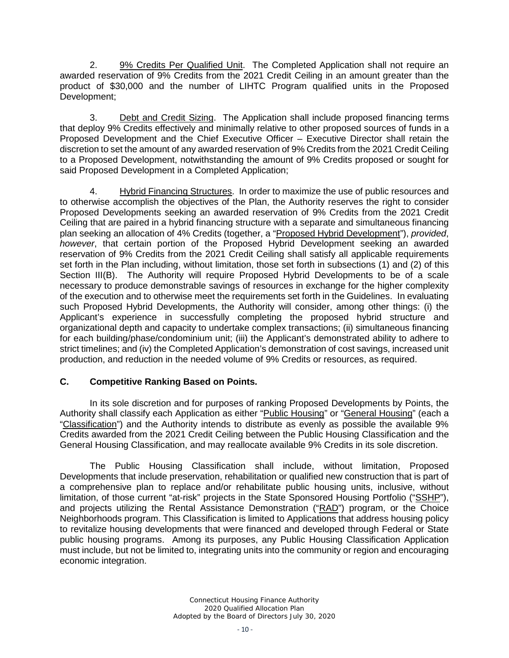2. 9% Credits Per Qualified Unit. The Completed Application shall not require an awarded reservation of 9% Credits from the 2021 Credit Ceiling in an amount greater than the product of \$30,000 and the number of LIHTC Program qualified units in the Proposed Development;

3. Debt and Credit Sizing. The Application shall include proposed financing terms that deploy 9% Credits effectively and minimally relative to other proposed sources of funds in a Proposed Development and the Chief Executive Officer – Executive Director shall retain the discretion to set the amount of any awarded reservation of 9% Credits from the 2021 Credit Ceiling to a Proposed Development, notwithstanding the amount of 9% Credits proposed or sought for said Proposed Development in a Completed Application;

4. Hybrid Financing Structures. In order to maximize the use of public resources and to otherwise accomplish the objectives of the Plan, the Authority reserves the right to consider Proposed Developments seeking an awarded reservation of 9% Credits from the 2021 Credit Ceiling that are paired in a hybrid financing structure with a separate and simultaneous financing plan seeking an allocation of 4% Credits (together, a "Proposed Hybrid Development"), *provided*, *however*, that certain portion of the Proposed Hybrid Development seeking an awarded reservation of 9% Credits from the 2021 Credit Ceiling shall satisfy all applicable requirements set forth in the Plan including, without limitation, those set forth in subsections (1) and (2) of this Section III(B). The Authority will require Proposed Hybrid Developments to be of a scale necessary to produce demonstrable savings of resources in exchange for the higher complexity of the execution and to otherwise meet the requirements set forth in the Guidelines. In evaluating such Proposed Hybrid Developments, the Authority will consider, among other things: (i) the Applicant's experience in successfully completing the proposed hybrid structure and organizational depth and capacity to undertake complex transactions; (ii) simultaneous financing for each building/phase/condominium unit; (iii) the Applicant's demonstrated ability to adhere to strict timelines; and (iv) the Completed Application's demonstration of cost savings, increased unit production, and reduction in the needed volume of 9% Credits or resources, as required.

#### **C. Competitive Ranking Based on Points.**

In its sole discretion and for purposes of ranking Proposed Developments by Points, the Authority shall classify each Application as either "Public Housing" or "General Housing" (each a "Classification") and the Authority intends to distribute as evenly as possible the available 9% Credits awarded from the 2021 Credit Ceiling between the Public Housing Classification and the General Housing Classification, and may reallocate available 9% Credits in its sole discretion.

The Public Housing Classification shall include, without limitation, Proposed Developments that include preservation, rehabilitation or qualified new construction that is part of a comprehensive plan to replace and/or rehabilitate public housing units, inclusive, without limitation, of those current "at-risk" projects in the State Sponsored Housing Portfolio ("SSHP"), and projects utilizing the Rental Assistance Demonstration ("RAD") program, or the Choice Neighborhoods program. This Classification is limited to Applications that address housing policy to revitalize housing developments that were financed and developed through Federal or State public housing programs. Among its purposes, any Public Housing Classification Application must include, but not be limited to, integrating units into the community or region and encouraging economic integration.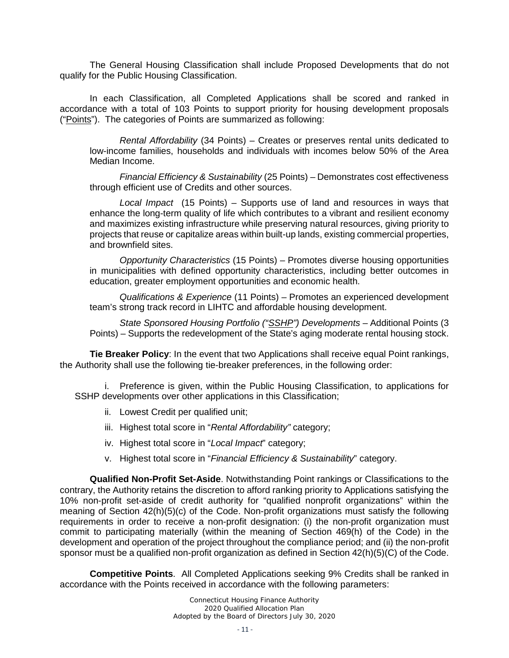The General Housing Classification shall include Proposed Developments that do not qualify for the Public Housing Classification.

In each Classification, all Completed Applications shall be scored and ranked in accordance with a total of 103 Points to support priority for housing development proposals ("Points"). The categories of Points are summarized as following:

*Rental Affordability* (34 Points) – Creates or preserves rental units dedicated to low-income families, households and individuals with incomes below 50% of the Area Median Income.

*Financial Efficiency & Sustainability* (25 Points) – Demonstrates cost effectiveness through efficient use of Credits and other sources.

*Local Impact* (15 Points) – Supports use of land and resources in ways that enhance the long-term quality of life which contributes to a vibrant and resilient economy and maximizes existing infrastructure while preserving natural resources, giving priority to projects that reuse or capitalize areas within built-up lands, existing commercial properties, and brownfield sites.

*Opportunity Characteristics* (15 Points) – Promotes diverse housing opportunities in municipalities with defined opportunity characteristics, including better outcomes in education, greater employment opportunities and economic health.

*Qualifications & Experience* (11 Points) – Promotes an experienced development team's strong track record in LIHTC and affordable housing development.

*State Sponsored Housing Portfolio ("SSHP") Developments* – Additional Points (3 Points) – Supports the redevelopment of the State's aging moderate rental housing stock.

**Tie Breaker Policy**: In the event that two Applications shall receive equal Point rankings, the Authority shall use the following tie-breaker preferences, in the following order:

i. Preference is given, within the Public Housing Classification, to applications for SSHP developments over other applications in this Classification;

- ii. Lowest Credit per qualified unit;
- iii. Highest total score in "*Rental Affordability"* category;
- iv. Highest total score in "*Local Impact*" category;
- v. Highest total score in "*Financial Efficiency & Sustainability*" category.

**Qualified Non-Profit Set-Aside**. Notwithstanding Point rankings or Classifications to the contrary, the Authority retains the discretion to afford ranking priority to Applications satisfying the 10% non-profit set-aside of credit authority for "qualified nonprofit organizations" within the meaning of Section 42(h)(5)(c) of the Code. Non-profit organizations must satisfy the following requirements in order to receive a non-profit designation: (i) the non-profit organization must commit to participating materially (within the meaning of Section 469(h) of the Code) in the development and operation of the project throughout the compliance period; and (ii) the non-profit sponsor must be a qualified non-profit organization as defined in Section 42(h)(5)(C) of the Code.

**Competitive Points**. All Completed Applications seeking 9% Credits shall be ranked in accordance with the Points received in accordance with the following parameters: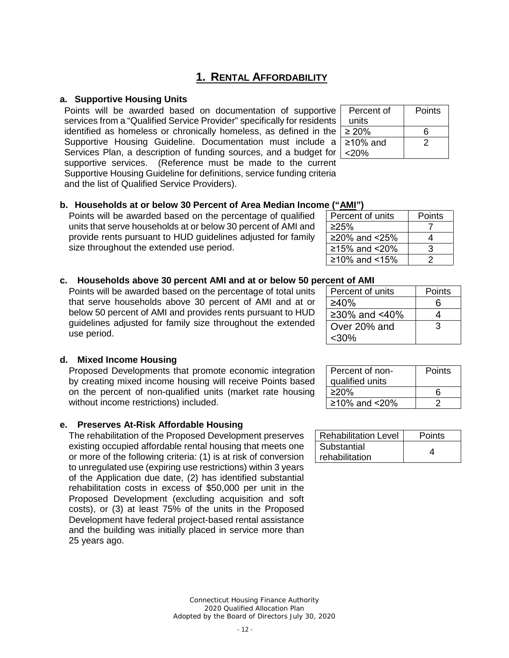## **1. RENTAL AFFORDABILITY**

#### **a. Supportive Housing Units**

Points will be awarded based on documentation of supportive services from a "Qualified Service Provider" specifically for residents identified as homeless or chronically homeless, as defined in the Supportive Housing Guideline. Documentation must include a Services Plan, a description of funding sources, and a budget for supportive services. (Reference must be made to the current Supportive Housing Guideline for definitions, service funding criteria and the list of Qualified Service Providers).

| Percent of      | Points |
|-----------------|--------|
| units           |        |
| $\geq 20\%$     | 6      |
| $\geq 10\%$ and | 2      |
| $<20\%$         |        |

Percent of units | Points ≥25% 7 ≥20% and <25% 4  $≥15%$  and <20% | 3  $≥10\%$  and <15% | 2

#### **b. Households at or below 30 Percent of Area Median Income ("AMI")**

Points will be awarded based on the percentage of qualified units that serve households at or below 30 percent of AMI and provide rents pursuant to HUD guidelines adjusted for family size throughout the extended use period.

#### **c. Households above 30 percent AMI and at or below 50 percent of AMI**

Points will be awarded based on the percentage of total units that serve households above 30 percent of AMI and at or below 50 percent of AMI and provides rents pursuant to HUD guidelines adjusted for family size throughout the extended use period.

| .<br>.           |        |
|------------------|--------|
| Percent of units | Points |
| ≥40%             | հ      |
| ≥30% and <40%    |        |
| Over 20% and     | 3      |
| $<$ 30%          |        |

**Points** 

#### **d. Mixed Income Housing**

Proposed Developments that promote economic integration by creating mixed income housing will receive Points based on the percent of non-qualified units (market rate housing without income restrictions) included.

#### **e. Preserves At-Risk Affordable Housing**

The rehabilitation of the Proposed Development preserves existing occupied affordable rental housing that meets one or more of the following criteria: (1) is at risk of conversion to unregulated use (expiring use restrictions) within 3 years of the Application due date, (2) has identified substantial rehabilitation costs in excess of \$50,000 per unit in the Proposed Development (excluding acquisition and soft costs), or (3) at least 75% of the units in the Proposed Development have federal project-based rental assistance and the building was initially placed in service more than 25 years ago.

| <b>Rehabilitation Level</b> | Points |
|-----------------------------|--------|
| Substantial                 |        |
| rehabilitation              |        |

 $\begin{array}{r|l}\n \text{≥}20\% & \text{6} \\
\text{≥}10\% & \text{and} <20\% & \text{2}\n \end{array}$ 

Percent of nonqualified units

 $≥10\%$  and <20%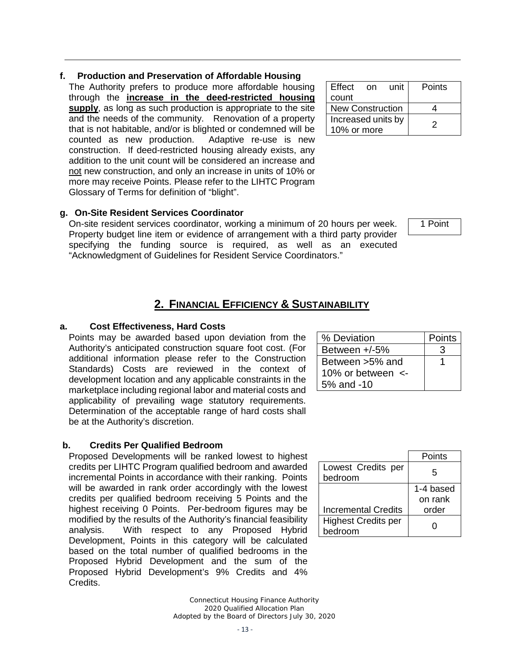### **f. Production and Preservation of Affordable Housing**

The Authority prefers to produce more affordable housing through the **increase in the deed-restricted housing supply**, as long as such production is appropriate to the site and the needs of the community. Renovation of a property that is not habitable, and/or is blighted or condemned will be counted as new production. Adaptive re-use is new construction. If deed-restricted housing already exists, any addition to the unit count will be considered an increase and not new construction, and only an increase in units of 10% or more may receive Points. Please refer to the LIHTC Program Glossary of Terms for definition of "blight".

## **g. On-Site Resident Services Coordinator**

<span id="page-12-0"></span>On-site resident services coordinator, working a minimum of 20 hours per week. Property budget line item or evidence of arrangement with a third party provider specifying the funding source is required, as well as an executed "Acknowledgment of Guidelines for Resident Service Coordinators."

## **2. FINANCIAL EFFICIENCY & SUSTAINABILITY**

#### **a. Cost Effectiveness, Hard Costs**

Points may be awarded based upon deviation from the Authority's anticipated construction square foot cost. (For additional information please refer to the Construction Standards) Costs are reviewed in the context of development location and any applicable constraints in the marketplace including regional labor and material costs and applicability of prevailing wage statutory requirements. Determination of the acceptable range of hard costs shall be at the Authority's discretion.

#### **b. Credits Per Qualified Bedroom**

Proposed Developments will be ranked lowest to highest credits per LIHTC Program qualified bedroom and awarded incremental Points in accordance with their ranking. Points will be awarded in rank order accordingly with the lowest credits per qualified bedroom receiving 5 Points and the highest receiving 0 Points. Per-bedroom figures may be modified by the results of the Authority's financial feasibility analysis. With respect to any Proposed Hybrid Development, Points in this category will be calculated based on the total number of qualified bedrooms in the Proposed Hybrid Development and the sum of the Proposed Hybrid Development's 9% Credits and 4% Credits.

| Effect                  | on | unit | Points |
|-------------------------|----|------|--------|
| count                   |    |      |        |
| <b>New Construction</b> |    |      |        |
| Increased units by      |    |      | 2      |
| 10% or more             |    |      |        |

1 Point

| % Deviation             | Points |
|-------------------------|--------|
| Between $+/-5%$         | 3      |
| Between >5% and         |        |
| 10% or between $\leq$ - |        |
| 5% and -10              |        |

|                                       | Points               |
|---------------------------------------|----------------------|
| Lowest Credits per<br>bedroom         | 5                    |
|                                       | 1-4 based<br>on rank |
| <b>Incremental Credits</b>            | order                |
| <b>Highest Credits per</b><br>bedroom |                      |

*Connecticut Housing Finance Authority 2020 Qualified Allocation Plan Adopted by the Board of Directors July 30, 2020*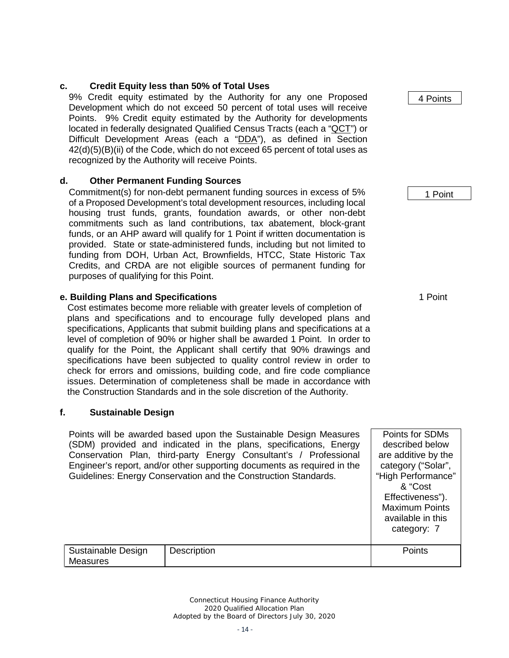## **c. Credit Equity less than 50% of Total Uses**

9% Credit equity estimated by the Authority for any one Proposed Development which do not exceed 50 percent of total uses will receive Points. 9% Credit equity estimated by the Authority for developments located in federally designated Qualified Census Tracts (each a "QCT") or Difficult Development Areas (each a "DDA"), as defined in Section 42(d)(5)(B)(ii) of the Code, which do not exceed 65 percent of total uses as recognized by the Authority will receive Points.

## **d. Other Permanent Funding Sources**

Commitment(s) for non-debt permanent funding sources in excess of 5% of a Proposed Development's total development resources, including local housing trust funds, grants, foundation awards, or other non-debt commitments such as land contributions, tax abatement, block-grant funds, or an AHP award will qualify for 1 Point if written documentation is provided. State or state-administered funds, including but not limited to funding from DOH, Urban Act, Brownfields, HTCC, State Historic Tax Credits, and CRDA are not eligible sources of permanent funding for purposes of qualifying for this Point.

## **e. Building Plans and Specifications** 1 Point

Cost estimates become more reliable with greater levels of completion of plans and specifications and to encourage fully developed plans and specifications, Applicants that submit building plans and specifications at a level of completion of 90% or higher shall be awarded 1 Point. In order to qualify for the Point, the Applicant shall certify that 90% drawings and specifications have been subjected to quality control review in order to check for errors and omissions, building code, and fire code compliance issues. Determination of completeness shall be made in accordance with the Construction Standards and in the sole discretion of the Authority.

## **f. Sustainable Design**

Points will be awarded based upon the Sustainable Design Measures (SDM) provided and indicated in the plans, specifications, Energy Conservation Plan, third-party Energy Consultant's / Professional Engineer's report, and/or other supporting documents as required in the Guidelines: Energy Conservation and the Construction Standards.

|                                |             | category: 7 |
|--------------------------------|-------------|-------------|
| Sustainable Design<br>Measures | Description | Points      |

*Connecticut Housing Finance Authority 2020 Qualified Allocation Plan Adopted by the Board of Directors July 30, 2020* 4 Points

1 Point

Points for SDMs described below are additive by the category ("Solar", "High Performance" & "Cost Effectiveness"). Maximum Points available in this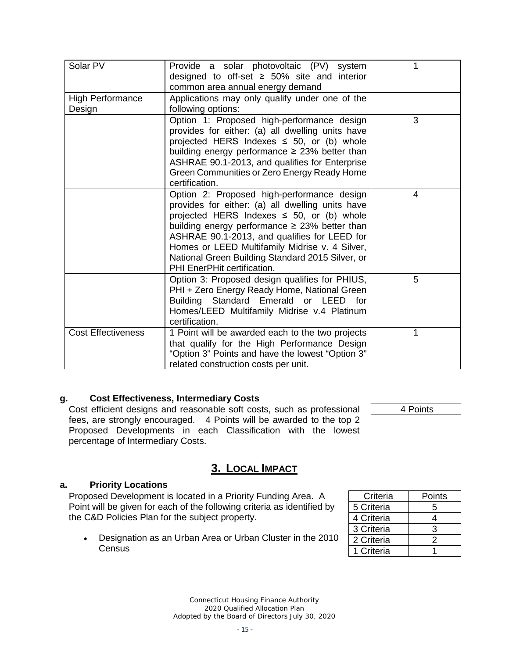| Solar PV<br><b>High Performance</b><br>Design | Provide a solar photovoltaic (PV)<br>system<br>designed to off-set $\geq$ 50% site and interior<br>common area annual energy demand<br>Applications may only qualify under one of the<br>following options:                                                                                                                                                                                 | 1 |
|-----------------------------------------------|---------------------------------------------------------------------------------------------------------------------------------------------------------------------------------------------------------------------------------------------------------------------------------------------------------------------------------------------------------------------------------------------|---|
|                                               | Option 1: Proposed high-performance design<br>provides for either: (a) all dwelling units have<br>projected HERS Indexes $\leq$ 50, or (b) whole<br>building energy performance $\geq$ 23% better than<br>ASHRAE 90.1-2013, and qualifies for Enterprise<br>Green Communities or Zero Energy Ready Home<br>certification.                                                                   | 3 |
|                                               | Option 2: Proposed high-performance design<br>provides for either: (a) all dwelling units have<br>projected HERS Indexes $\leq$ 50, or (b) whole<br>building energy performance $\geq$ 23% better than<br>ASHRAE 90.1-2013, and qualifies for LEED for<br>Homes or LEED Multifamily Midrise v. 4 Silver,<br>National Green Building Standard 2015 Silver, or<br>PHI EnerPHit certification. | 4 |
|                                               | Option 3: Proposed design qualifies for PHIUS,<br>PHI + Zero Energy Ready Home, National Green<br>Building Standard Emerald or LEED for<br>Homes/LEED Multifamily Midrise v.4 Platinum<br>certification.                                                                                                                                                                                    | 5 |
| <b>Cost Effectiveness</b>                     | 1 Point will be awarded each to the two projects<br>that qualify for the High Performance Design<br>"Option 3" Points and have the lowest "Option 3"<br>related construction costs per unit.                                                                                                                                                                                                | 1 |

#### **g. Cost Effectiveness, Intermediary Costs**

Cost efficient designs and reasonable soft costs, such as professional fees, are strongly encouraged. 4 Points will be awarded to the top 2 Proposed Developments in each Classification with the lowest percentage of Intermediary Costs.

4 Points

## **3. LOCAL IMPACT**

#### **a. Priority Locations**

Proposed Development is located in a Priority Funding Area. A Point will be given for each of the following criteria as identified by the C&D Policies Plan for the subject property.

• Designation as an Urban Area or Urban Cluster in the 2010 **Census** 

| Criteria   | Points        |
|------------|---------------|
| 5 Criteria | 5             |
| 4 Criteria | 4             |
| 3 Criteria | З             |
| 2 Criteria | $\mathcal{P}$ |
| 1 Criteria |               |

*Connecticut Housing Finance Authority 2020 Qualified Allocation Plan Adopted by the Board of Directors July 30, 2020*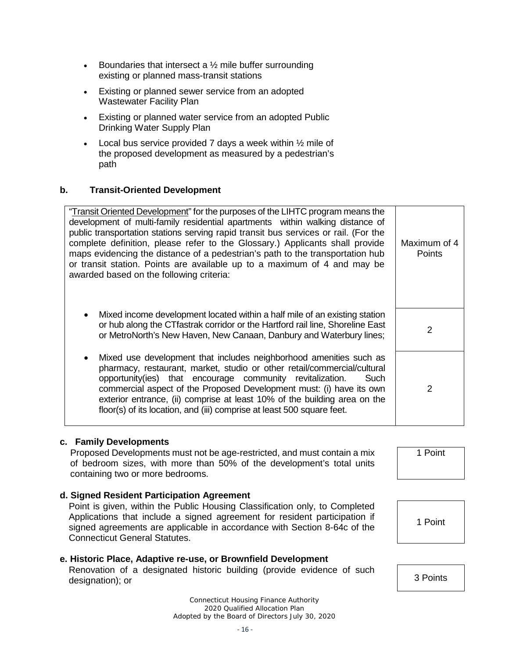- Boundaries that intersect a  $\frac{1}{2}$  mile buffer surrounding existing or planned mass-transit stations
- Existing or planned sewer service from an adopted Wastewater Facility Plan
- Existing or planned water service from an adopted Public Drinking Water Supply Plan
- Local bus service provided 7 days a week within  $\frac{1}{2}$  mile of the proposed development as measured by a pedestrian's path

#### **b. Transit-Oriented Development**

"Transit Oriented Development" for the purposes of the LIHTC program means the development of multi-family residential apartments within walking distance of public transportation stations serving rapid transit bus services or rail. (For the complete definition, please refer to the Glossary.) Applicants shall provide maps evidencing the distance of a pedestrian's path to the transportation hub or transit station. Points are available up to a maximum of 4 and may be awarded based on the following criteria: Maximum of 4 **Points** 

- Mixed income development located within a half mile of an existing station or hub along the CTfastrak corridor or the Hartford rail line, Shoreline East or nub along the C Hastrak comporting the Handoru fail line, Shoreline East 2<br>or MetroNorth's New Haven, New Canaan, Danbury and Waterbury lines;
- Mixed use development that includes neighborhood amenities such as pharmacy, restaurant, market, studio or other retail/commercial/cultural opportunity(ies) that encourage community revitalization. Such commercial aspect of the Proposed Development must: (i) have its own exterior entrance, (ii) comprise at least 10% of the building area on the floor(s) of its location, and (iii) comprise at least 500 square feet.

#### **c. Family Developments**

Proposed Developments must not be age-restricted, and must contain a mix of bedroom sizes, with more than 50% of the development's total units containing two or more bedrooms.

1 Point

2

**d. Signed Resident Participation Agreement**

Point is given, within the Public Housing Classification only, to Completed Applications that include a signed agreement for resident participation if signed agreements are applicable in accordance with Section 8-64c of the Connecticut General Statutes.

#### **e. Historic Place, Adaptive re-use, or Brownfield Development**

Renovation of a designated historic building (provide evidence of such designation); or 3 Points and the content of the content of the state of the state of the 3 Points

> *Connecticut Housing Finance Authority 2020 Qualified Allocation Plan Adopted by the Board of Directors July 30, 2020*

1 Point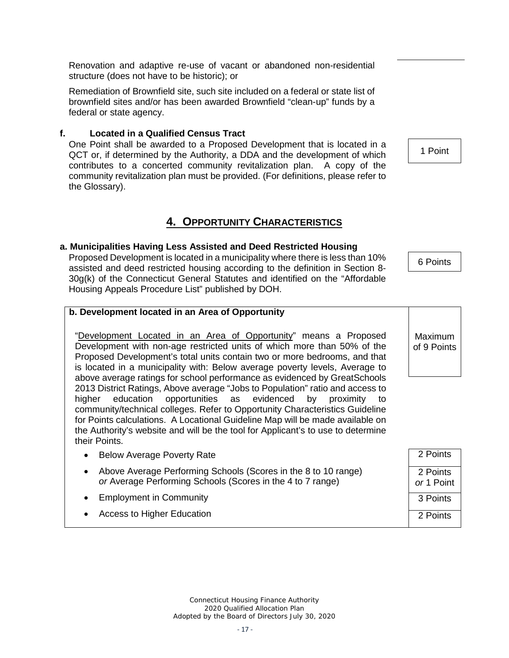*Connecticut Housing Finance Authority 2020 Qualified Allocation Plan Adopted by the Board of Directors July 30, 2020*

# is located in a municipality with: Below average poverty levels, Average to

above average ratings for school performance as evidenced by GreatSchools 2013 District Ratings, Above average "Jobs to Population" ratio and access to higher education opportunities as evidenced by proximity community/technical colleges. Refer to Opportunity Characteristics Guideline for Points calculations. A Locational Guideline Map will be made available on the Authority's website and will be the tool for Applicant's to use to determine their Points.

- Below Average Poverty Rate
- Above Average Performing Schools (Scores in the 8 to 10 range) *or* Average Performing Schools (Scores in the 4 to 7 range)
- Employment in Community
- Access to Higher Education

structure (does not have to be historic); or

Renovation and adaptive re-use of vacant or abandoned non-residential

Remediation of Brownfield site, such site included on a federal or state list of brownfield sites and/or has been awarded Brownfield "clean-up" funds by a

#### **f. Located in a Qualified Census Tract**

federal or state agency.

One Point shall be awarded to a Proposed Development that is located in a QCT or, if determined by the Authority, a DDA and the development of which contributes to a concerted community revitalization plan. A copy of the community revitalization plan must be provided. (For definitions, please refer to the Glossary).

## **4. OPPORTUNITY CHARACTERISTICS**

#### <span id="page-16-0"></span>**a. Municipalities Having Less Assisted and Deed Restricted Housing**

Proposed Development is located in a municipality where there is less than 10% assisted and deed restricted housing according to the definition in Section 8- 30g(k) of the Connecticut General Statutes and identified on the "Affordable Housing Appeals Procedure List" published by DOH.

"Development Located in an Area of Opportunity" means a Proposed Development with non-age restricted units of which more than 50% of the Proposed Development's total units contain two or more bedrooms, and that

#### **b. Development located in an Area of Opportunity**

2 Points 2 Points *or* 1 Point 3 Points 2 Points

Maximum of 9 Points

1 Point

6 Points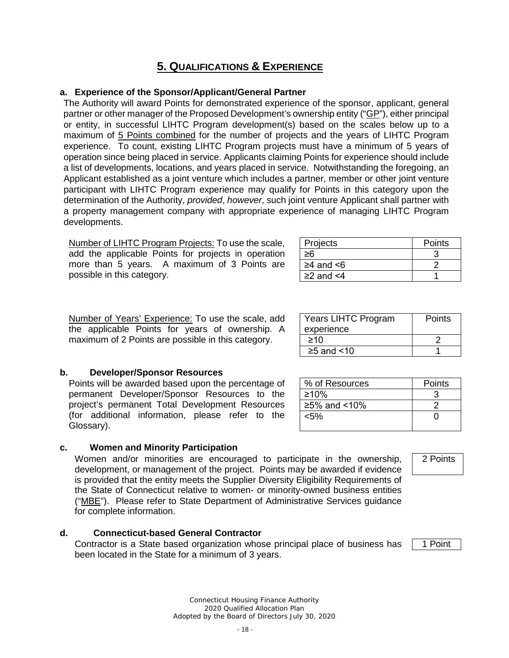## **5. QUALIFICATIONS & EXPERIENCE**

#### <span id="page-17-0"></span>**a. Experience of the Sponsor/Applicant/General Partner**

The Authority will award Points for demonstrated experience of the sponsor, applicant, general partner or other manager of the Proposed Development's ownership entity ("GP"), either principal or entity, in successful LIHTC Program development(s) based on the scales below up to a maximum of 5 Points combined for the number of projects and the years of LIHTC Program experience. To count, existing LIHTC Program projects must have a minimum of 5 years of operation since being placed in service. Applicants claiming Points for experience should include a list of developments, locations, and years placed in service. Notwithstanding the foregoing, an Applicant established as a joint venture which includes a partner, member or other joint venture participant with LIHTC Program experience may qualify for Points in this category upon the determination of the Authority, *provided*, *however*, such joint venture Applicant shall partner with a property management company with appropriate experience of managing LIHTC Program developments.

Number of LIHTC Program Projects: To use the scale, add the applicable Points for projects in operation more than 5 years. A maximum of 3 Points are possible in this category.

| Projects              | Points |
|-----------------------|--------|
|                       |        |
| ≥4 and $<$ 6          |        |
| $\geq$ 2 and $\leq$ 4 |        |

 $≥10$  2  $≥5$  and <10 1

% of Resources Points  $≥10\%$  3  $≥5%$  and <10% 2  $\leq$ 5% 0

Years LIHTC Program

experience

Number of Years' Experience: To use the scale, add the applicable Points for years of ownership. A maximum of 2 Points are possible in this category.

#### **b. Developer/Sponsor Resources**

Points will be awarded based upon the percentage of permanent Developer/Sponsor Resources to the project's permanent Total Development Resources (for additional information, please refer to the Glossary).

#### **c. Women and Minority Participation**

Women and/or minorities are encouraged to participate in the ownership, development, or management of the project. Points may be awarded if evidence is provided that the entity meets the Supplier Diversity Eligibility Requirements of the State of Connecticut relative to women- or minority-owned business entities ("MBE"). Please refer to State Department of Administrative Services guidance for complete information.

#### **d. Connecticut-based General Contractor**

<span id="page-17-1"></span>Contractor is a State based organization whose principal place of business has been located in the State for a minimum of 3 years.

> *Connecticut Housing Finance Authority 2020 Qualified Allocation Plan Adopted by the Board of Directors July 30, 2020*

2 Points

**Points** 

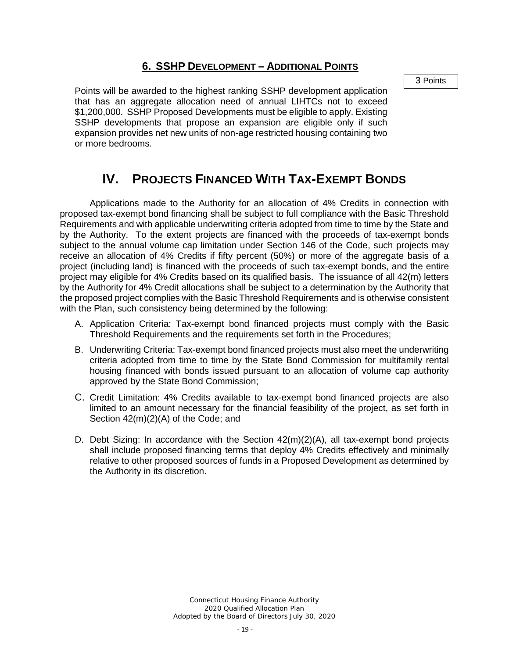### **6. SSHP DEVELOPMENT – ADDITIONAL POINTS**

3 Points

Points will be awarded to the highest ranking SSHP development application that has an aggregate allocation need of annual LIHTCs not to exceed \$1,200,000. SSHP Proposed Developments must be eligible to apply. Existing SSHP developments that propose an expansion are eligible only if such expansion provides net new units of non-age restricted housing containing two or more bedrooms.

# **IV. PROJECTS FINANCED WITH TAX-EXEMPT BONDS**

<span id="page-18-0"></span>Applications made to the Authority for an allocation of 4% Credits in connection with proposed tax-exempt bond financing shall be subject to full compliance with the Basic Threshold Requirements and with applicable underwriting criteria adopted from time to time by the State and by the Authority. To the extent projects are financed with the proceeds of tax-exempt bonds subject to the annual volume cap limitation under Section 146 of the Code, such projects may receive an allocation of 4% Credits if fifty percent (50%) or more of the aggregate basis of a project (including land) is financed with the proceeds of such tax-exempt bonds, and the entire project may eligible for 4% Credits based on its qualified basis. The issuance of all 42(m) letters by the Authority for 4% Credit allocations shall be subject to a determination by the Authority that the proposed project complies with the Basic Threshold Requirements and is otherwise consistent with the Plan, such consistency being determined by the following:

- A. Application Criteria: Tax-exempt bond financed projects must comply with the Basic Threshold Requirements and the requirements set forth in the Procedures;
- B. Underwriting Criteria: Tax-exempt bond financed projects must also meet the underwriting criteria adopted from time to time by the State Bond Commission for multifamily rental housing financed with bonds issued pursuant to an allocation of volume cap authority approved by the State Bond Commission;
- C. Credit Limitation: 4% Credits available to tax-exempt bond financed projects are also limited to an amount necessary for the financial feasibility of the project, as set forth in Section 42(m)(2)(A) of the Code; and
- D. Debt Sizing: In accordance with the Section 42(m)(2)(A), all tax-exempt bond projects shall include proposed financing terms that deploy 4% Credits effectively and minimally relative to other proposed sources of funds in a Proposed Development as determined by the Authority in its discretion.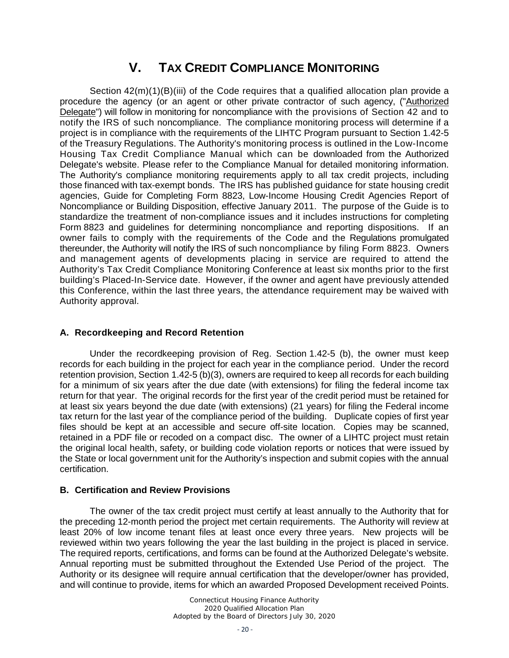# **V. TAX CREDIT COMPLIANCE MONITORING**

<span id="page-19-0"></span>Section  $42(m)(1)(B)(iii)$  of the Code requires that a qualified allocation plan provide a procedure the agency (or an agent or other private contractor of such agency, ("Authorized Delegate") will follow in monitoring for noncompliance with the provisions of Section 42 and to notify the IRS of such noncompliance. The compliance monitoring process will determine if a project is in compliance with the requirements of the LIHTC Program pursuant to Section 1.42-5 of the Treasury Regulations. The Authority's monitoring process is outlined in the Low-Income Housing Tax Credit Compliance Manual which can be downloaded from the Authorized Delegate's website. Please refer to the Compliance Manual for detailed monitoring information. The Authority's compliance monitoring requirements apply to all tax credit projects, including those financed with tax-exempt bonds. The IRS has published guidance for state housing credit agencies, Guide for Completing Form 8823, Low-Income Housing Credit Agencies Report of Noncompliance or Building Disposition, effective January 2011. The purpose of the Guide is to standardize the treatment of non-compliance issues and it includes instructions for completing Form 8823 and guidelines for determining noncompliance and reporting dispositions. If an owner fails to comply with the requirements of the Code and the Regulations promulgated thereunder, the Authority will notify the IRS of such noncompliance by filing Form 8823. Owners and management agents of developments placing in service are required to attend the Authority's Tax Credit Compliance Monitoring Conference at least six months prior to the first building's Placed-In-Service date. However, if the owner and agent have previously attended this Conference, within the last three years, the attendance requirement may be waived with Authority approval.

#### **A. Recordkeeping and Record Retention**

Under the recordkeeping provision of Reg. Section 1.42-5 (b), the owner must keep records for each building in the project for each year in the compliance period. Under the record retention provision, Section 1.42-5 (b)(3), owners are required to keep all records for each building for a minimum of six years after the due date (with extensions) for filing the federal income tax return for that year. The original records for the first year of the credit period must be retained for at least six years beyond the due date (with extensions) (21 years) for filing the Federal income tax return for the last year of the compliance period of the building. Duplicate copies of first year files should be kept at an accessible and secure off-site location. Copies may be scanned, retained in a PDF file or recoded on a compact disc. The owner of a LIHTC project must retain the original local health, safety, or building code violation reports or notices that were issued by the State or local government unit for the Authority's inspection and submit copies with the annual certification.

#### **B. Certification and Review Provisions**

The owner of the tax credit project must certify at least annually to the Authority that for the preceding 12-month period the project met certain requirements. The Authority will review at least 20% of low income tenant files at least once every three years. New projects will be reviewed within two years following the year the last building in the project is placed in service. The required reports, certifications, and forms can be found at the Authorized Delegate's website. Annual reporting must be submitted throughout the Extended Use Period of the project. The Authority or its designee will require annual certification that the developer/owner has provided, and will continue to provide, items for which an awarded Proposed Development received Points.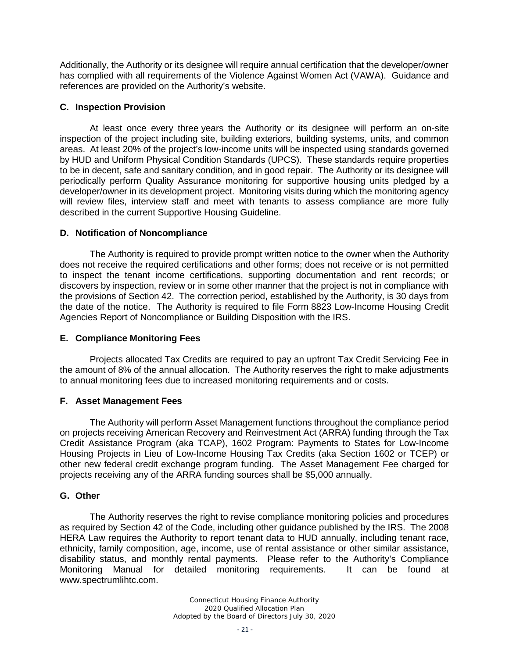Additionally, the Authority or its designee will require annual certification that the developer/owner has complied with all requirements of the Violence Against Women Act (VAWA). Guidance and references are provided on the Authority's website.

#### **C. Inspection Provision**

At least once every three years the Authority or its designee will perform an on-site inspection of the project including site, building exteriors, building systems, units, and common areas. At least 20% of the project's low-income units will be inspected using standards governed by HUD and Uniform Physical Condition Standards (UPCS). These standards require properties to be in decent, safe and sanitary condition, and in good repair. The Authority or its designee will periodically perform Quality Assurance monitoring for supportive housing units pledged by a developer/owner in its development project. Monitoring visits during which the monitoring agency will review files, interview staff and meet with tenants to assess compliance are more fully described in the current Supportive Housing Guideline.

#### **D. Notification of Noncompliance**

The Authority is required to provide prompt written notice to the owner when the Authority does not receive the required certifications and other forms; does not receive or is not permitted to inspect the tenant income certifications, supporting documentation and rent records; or discovers by inspection, review or in some other manner that the project is not in compliance with the provisions of Section 42. The correction period, established by the Authority, is 30 days from the date of the notice. The Authority is required to file Form 8823 Low-Income Housing Credit Agencies Report of Noncompliance or Building Disposition with the IRS.

#### **E. Compliance Monitoring Fees**

Projects allocated Tax Credits are required to pay an upfront Tax Credit Servicing Fee in the amount of 8% of the annual allocation. The Authority reserves the right to make adjustments to annual monitoring fees due to increased monitoring requirements and or costs.

#### **F. Asset Management Fees**

The Authority will perform Asset Management functions throughout the compliance period on projects receiving American Recovery and Reinvestment Act (ARRA) funding through the Tax Credit Assistance Program (aka TCAP), 1602 Program: Payments to States for Low-Income Housing Projects in Lieu of Low-Income Housing Tax Credits (aka Section 1602 or TCEP) or other new federal credit exchange program funding. The Asset Management Fee charged for projects receiving any of the ARRA funding sources shall be \$5,000 annually.

#### **G. Other**

The Authority reserves the right to revise compliance monitoring policies and procedures as required by Section 42 of the Code, including other guidance published by the IRS. The 2008 HERA Law requires the Authority to report tenant data to HUD annually, including tenant race, ethnicity, family composition, age, income, use of rental assistance or other similar assistance, disability status, and monthly rental payments. Please refer to the Authority's Compliance Monitoring Manual for detailed monitoring requirements. It can be found at www.spectrumlihtc.com.